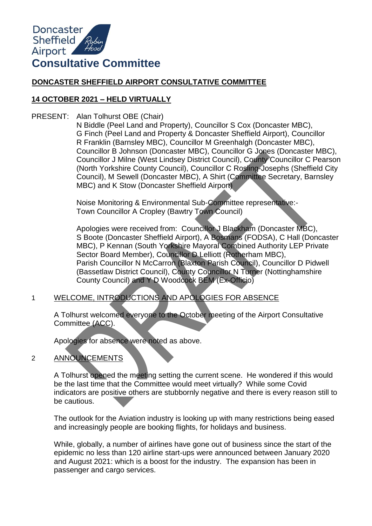

# **DONCASTER SHEFFIELD AIRPORT CONSULTATIVE COMMITTEE**

# **14 OCTOBER 2021 – HELD VIRTUALLY**

PRESENT: Alan Tolhurst OBE (Chair)

N Biddle (Peel Land and Property), Councillor S Cox (Doncaster MBC), G Finch (Peel Land and Property & Doncaster Sheffield Airport), Councillor R Franklin (Barnsley MBC), Councillor M Greenhalgh (Doncaster MBC), Councillor B Johnson (Doncaster MBC), Councillor G Jones (Doncaster MBC), Councillor J Milne (West Lindsey District Council), County Councillor C Pearson (North Yorkshire County Council), Councillor C Rosling-Josephs (Sheffield City Council), M Sewell (Doncaster MBC), A Shirt (Committee Secretary, Barnsley MBC) and K Stow (Doncaster Sheffield Airport)

Noise Monitoring & Environmental Sub-Committee representative:- Town Councillor A Cropley (Bawtry Town Council)

Apologies were received from: Councillor J Blackham (Doncaster MBC), S Boote (Doncaster Sheffield Airport), A Bosmans (FODSA), C Hall (Doncaster MBC), P Kennan (South Yorkshire Mayoral Combined Authority LEP Private Sector Board Member), Councillor D Lelliott (Rotherham MBC), Parish Councillor N McCarron (Blaxton Parish Council), Councillor D Pidwell (Bassetlaw District Council), County Councillor N Turner (Nottinghamshire County Council) and Y D Woodcock BEM (Ex-Officio)

1 WELCOME, INTRODUCTIONS AND APOLOGIES FOR ABSENCE

A Tolhurst welcomed everyone to the October meeting of the Airport Consultative Committee (ACC).

Apologies for absence were noted as above.

# 2 ANNOUNCEMENTS

A Tolhurst opened the meeting setting the current scene. He wondered if this would be the last time that the Committee would meet virtually? While some Covid indicators are positive others are stubbornly negative and there is every reason still to be cautious.

The outlook for the Aviation industry is looking up with many restrictions being eased and increasingly people are booking flights, for holidays and business.

While, globally, a number of airlines have gone out of business since the start of the epidemic no less than 120 airline start-ups were announced between January 2020 and August 2021: which is a boost for the industry. The expansion has been in passenger and cargo services.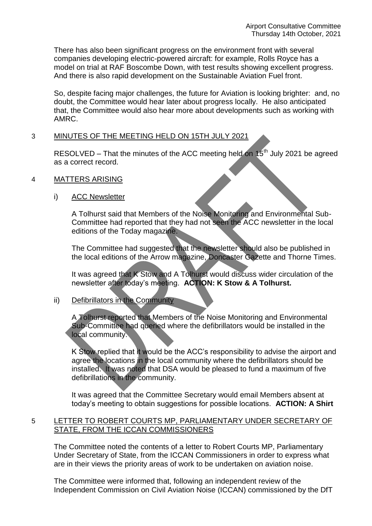There has also been significant progress on the environment front with several companies developing electric-powered aircraft: for example, Rolls Royce has a model on trial at RAF Boscombe Down, with test results showing excellent progress. And there is also rapid development on the Sustainable Aviation Fuel front.

So, despite facing major challenges, the future for Aviation is looking brighter: and, no doubt, the Committee would hear later about progress locally. He also anticipated that, the Committee would also hear more about developments such as working with AMRC.

# 3 MINUTES OF THE MEETING HELD ON 15TH JULY 2021

RESOLVED – That the minutes of the ACC meeting held on  $15<sup>th</sup>$  July 2021 be agreed as a correct record.

- 4 MATTERS ARISING
	- i) ACC Newsletter

A Tolhurst said that Members of the Noise Monitoring and Environmental Sub-Committee had reported that they had not seen the ACC newsletter in the local editions of the Today magazine.

The Committee had suggested that the newsletter should also be published in the local editions of the Arrow magazine, Doncaster Gazette and Thorne Times.

It was agreed that K Stow and A Tolhurst would discuss wider circulation of the newsletter after today's meeting. **ACTION: K Stow & A Tolhurst.** 

## ii) Defibrillators in the Community

A Tolhurst reported that Members of the Noise Monitoring and Environmental Sub-Committee had queried where the defibrillators would be installed in the local community.

K Stow replied that it would be the ACC's responsibility to advise the airport and agree the locations in the local community where the defibrillators should be installed. It was noted that DSA would be pleased to fund a maximum of five defibrillations in the community.

It was agreed that the Committee Secretary would email Members absent at today's meeting to obtain suggestions for possible locations. **ACTION: A Shirt** 

# 5 LETTER TO ROBERT COURTS MP, PARLIAMENTARY UNDER SECRETARY OF STATE, FROM THE ICCAN COMMISSIONERS

The Committee noted the contents of a letter to Robert Courts MP, Parliamentary Under Secretary of State, from the ICCAN Commissioners in order to express what are in their views the priority areas of work to be undertaken on aviation noise.

The Committee were informed that, following an independent review of the Independent Commission on Civil Aviation Noise (ICCAN) commissioned by the DfT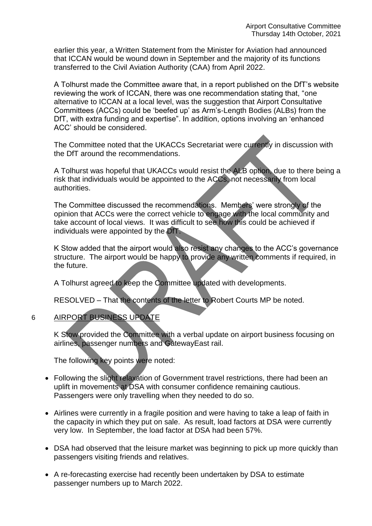earlier this year, a Written Statement from the Minister for Aviation had announced that ICCAN would be wound down in September and the majority of its functions transferred to the Civil Aviation Authority (CAA) from April 2022.

A Tolhurst made the Committee aware that, in a report published on the DfT's website reviewing the work of ICCAN, there was one recommendation stating that, "one alternative to ICCAN at a local level, was the suggestion that Airport Consultative Committees (ACCs) could be 'beefed up' as Arm's-Length Bodies (ALBs) from the DfT, with extra funding and expertise". In addition, options involving an 'enhanced ACC' should be considered.

The Committee noted that the UKACCs Secretariat were currently in discussion with the DfT around the recommendations.

A Tolhurst was hopeful that UKACCs would resist the ALB option, due to there being a risk that individuals would be appointed to the ACCs, not necessarily from local authorities.

The Committee discussed the recommendations. Members' were strongly of the opinion that ACCs were the correct vehicle to engage with the local community and take account of local views. It was difficult to see how this could be achieved if individuals were appointed by the DfT.

K Stow added that the airport would also resist any changes to the ACC's governance structure. The airport would be happy to provide any written comments if required, in the future.

A Tolhurst agreed to keep the Committee updated with developments.

RESOLVED – That the contents of the letter to Robert Courts MP be noted.

# 6 AIRPORT BUSINESS UPDATE

K Stow provided the Committee with a verbal update on airport business focusing on airlines, passenger numbers and GatewayEast rail.

The following key points were noted:

- Following the slight relaxation of Government travel restrictions, there had been an uplift in movements at DSA with consumer confidence remaining cautious. Passengers were only travelling when they needed to do so.
- Airlines were currently in a fragile position and were having to take a leap of faith in the capacity in which they put on sale. As result, load factors at DSA were currently very low. In September, the load factor at DSA had been 57%.
- DSA had observed that the leisure market was beginning to pick up more quickly than passengers visiting friends and relatives.
- A re-forecasting exercise had recently been undertaken by DSA to estimate passenger numbers up to March 2022.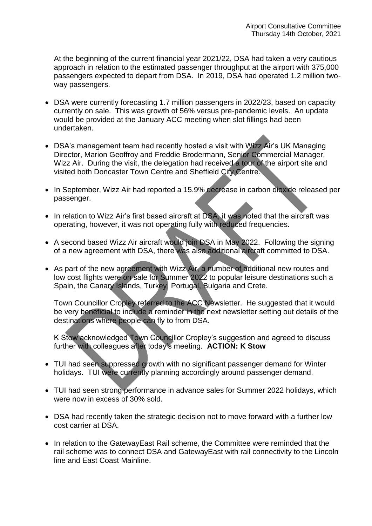At the beginning of the current financial year 2021/22, DSA had taken a very cautious approach in relation to the estimated passenger throughput at the airport with 375,000 passengers expected to depart from DSA. In 2019, DSA had operated 1.2 million twoway passengers.

- DSA were currently forecasting 1.7 million passengers in 2022/23, based on capacity currently on sale. This was growth of 56% versus pre-pandemic levels. An update would be provided at the January ACC meeting when slot fillings had been undertaken.
- DSA's management team had recently hosted a visit with Wizz Air's UK Managing Director, Marion Geoffroy and Freddie Brodermann, Senior Commercial Manager, Wizz Air. During the visit, the delegation had received a tour of the airport site and visited both Doncaster Town Centre and Sheffield City Centre.
- In September, Wizz Air had reported a 15.9% decrease in carbon dioxide released per passenger.
- In relation to Wizz Air's first based aircraft at DSA, it was noted that the aircraft was operating, however, it was not operating fully with reduced frequencies.
- A second based Wizz Air aircraft would join DSA in May 2022. Following the signing of a new agreement with DSA, there was also additional aircraft committed to DSA.
- As part of the new agreement with Wizz Air, a number of additional new routes and low cost flights were on sale for Summer 2022 to popular leisure destinations such a Spain, the Canary Islands, Turkey, Portugal, Bulgaria and Crete.

Town Councillor Cropley referred to the ACC Newsletter. He suggested that it would be very beneficial to include a reminder in the next newsletter setting out details of the destinations where people can fly to from DSA.

K Stow acknowledged Town Councillor Cropley's suggestion and agreed to discuss further with colleagues after today's meeting. **ACTION: K Stow**

- TUI had seen suppressed growth with no significant passenger demand for Winter holidays. TUI were currently planning accordingly around passenger demand.
- TUI had seen strong performance in advance sales for Summer 2022 holidays, which were now in excess of 30% sold.
- DSA had recently taken the strategic decision not to move forward with a further low cost carrier at DSA.
- In relation to the GatewayEast Rail scheme, the Committee were reminded that the rail scheme was to connect DSA and GatewayEast with rail connectivity to the Lincoln line and East Coast Mainline.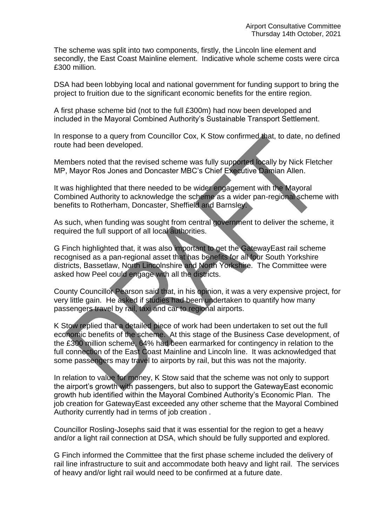The scheme was split into two components, firstly, the Lincoln line element and secondly, the East Coast Mainline element. Indicative whole scheme costs were circa £300 million.

DSA had been lobbying local and national government for funding support to bring the project to fruition due to the significant economic benefits for the entire region.

A first phase scheme bid (not to the full £300m) had now been developed and included in the Mayoral Combined Authority's Sustainable Transport Settlement.

In response to a query from Councillor Cox, K Stow confirmed that, to date, no defined route had been developed.

Members noted that the revised scheme was fully supported locally by Nick Fletcher MP, Mayor Ros Jones and Doncaster MBC's Chief Executive Damian Allen.

It was highlighted that there needed to be wider engagement with the Mayoral Combined Authority to acknowledge the scheme as a wider pan-regional scheme with benefits to Rotherham, Doncaster, Sheffield and Barnsley.

As such, when funding was sought from central government to deliver the scheme, it required the full support of all local authorities.

G Finch highlighted that, it was also important to get the GatewayEast rail scheme recognised as a pan-regional asset that has benefits for all four South Yorkshire districts, Bassetlaw, North Lincolnshire and North Yorkshire. The Committee were asked how Peel could engage with all the districts.

County Councillor Pearson said that, in his opinion, it was a very expensive project, for very little gain. He asked if studies had been undertaken to quantify how many passengers travel by rail, taxi and car to regional airports.

K Stow replied that a detailed piece of work had been undertaken to set out the full economic benefits of the scheme. At this stage of the Business Case development, of the £300 million scheme, 64% had been earmarked for contingency in relation to the full connection of the East Coast Mainline and Lincoln line. It was acknowledged that some passengers may travel to airports by rail, but this was not the majority.

In relation to value for money, K Stow said that the scheme was not only to support the airport's growth with passengers, but also to support the GatewayEast economic growth hub identified within the Mayoral Combined Authority's Economic Plan. The job creation for GatewayEast exceeded any other scheme that the Mayoral Combined Authority currently had in terms of job creation .

Councillor Rosling-Josephs said that it was essential for the region to get a heavy and/or a light rail connection at DSA, which should be fully supported and explored.

G Finch informed the Committee that the first phase scheme included the delivery of rail line infrastructure to suit and accommodate both heavy and light rail. The services of heavy and/or light rail would need to be confirmed at a future date.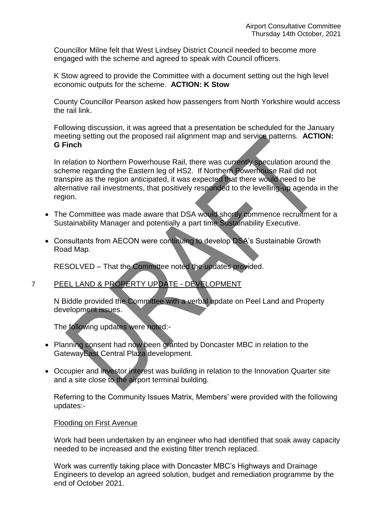Councillor Milne felt that West Lindsey District Council needed to become more engaged with the scheme and agreed to speak with Council officers.

K Stow agreed to provide the Committee with a document setting out the high level economic outputs for the scheme. **ACTION: K Stow**

County Councillor Pearson asked how passengers from North Yorkshire would access the rail link.

Following discussion, it was agreed that a presentation be scheduled for the January meeting setting out the proposed rail alignment map and service patterns. **ACTION: G Finch**

In relation to Northern Powerhouse Rail, there was currently speculation around the scheme regarding the Eastern leg of HS2. If Northern Powerhouse Rail did not transpire as the region anticipated, it was expected that there would need to be alternative rail investments, that positively responded to the levelling-up agenda in the region.

- The Committee was made aware that DSA would shortly commence recruitment for a Sustainability Manager and potentially a part time Sustainability Executive.
- Consultants from AECON were continuing to develop DSA's Sustainable Growth Road Map.

RESOLVED – That the Committee noted the updates provided.

## 7 PEEL LAND & PROPERTY UPDATE - DEVELOPMENT

N Biddle provided the Committee with a verbal update on Peel Land and Property development issues.

The following updates were noted:-

- Planning consent had now been granted by Doncaster MBC in relation to the GatewayEast Central Plaza development.
- Occupier and investor interest was building in relation to the Innovation Quarter site and a site close to the airport terminal building.

Referring to the Community Issues Matrix, Members' were provided with the following updates:-

## Flooding on First Avenue

Work had been undertaken by an engineer who had identified that soak away capacity needed to be increased and the existing filter trench replaced.

Work was currently taking place with Doncaster MBC's Highways and Drainage Engineers to develop an agreed solution, budget and remediation programme by the end of October 2021.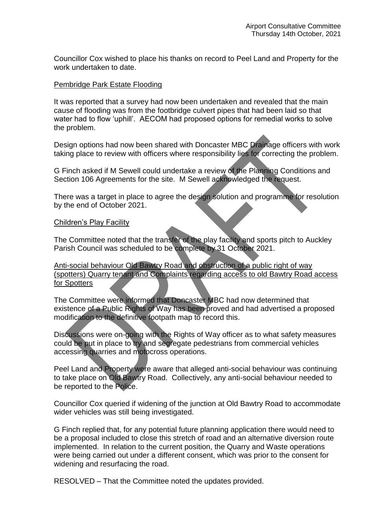Councillor Cox wished to place his thanks on record to Peel Land and Property for the work undertaken to date.

### Pembridge Park Estate Flooding

It was reported that a survey had now been undertaken and revealed that the main cause of flooding was from the footbridge culvert pipes that had been laid so that water had to flow 'uphill'. AECOM had proposed options for remedial works to solve the problem.

Design options had now been shared with Doncaster MBC Drainage officers with work taking place to review with officers where responsibility lies for correcting the problem.

G Finch asked if M Sewell could undertake a review of the Planning Conditions and Section 106 Agreements for the site. M Sewell acknowledged the request.

There was a target in place to agree the design solution and programme for resolution by the end of October 2021.

### Children's Play Facility

The Committee noted that the transfer of the play facility and sports pitch to Auckley Parish Council was scheduled to be complete by 31 October 2021.

Anti-social behaviour Old Bawtry Road and obstruction of a public right of way (spotters) Quarry tenant and Complaints regarding access to old Bawtry Road access for Spotters

The Committee were informed that Doncaster MBC had now determined that existence of a Public Rights of Way has been proved and had advertised a proposed modification to the definitive footpath map to record this.

Discussions were on-going with the Rights of Way officer as to what safety measures could be put in place to try and segregate pedestrians from commercial vehicles accessing quarries and motocross operations.

Peel Land and Property were aware that alleged anti-social behaviour was continuing to take place on Old Bawtry Road. Collectively, any anti-social behaviour needed to be reported to the Police.

Councillor Cox queried if widening of the junction at Old Bawtry Road to accommodate wider vehicles was still being investigated.

G Finch replied that, for any potential future planning application there would need to be a proposal included to close this stretch of road and an alternative diversion route implemented. In relation to the current position, the Quarry and Waste operations were being carried out under a different consent, which was prior to the consent for widening and resurfacing the road.

RESOLVED – That the Committee noted the updates provided.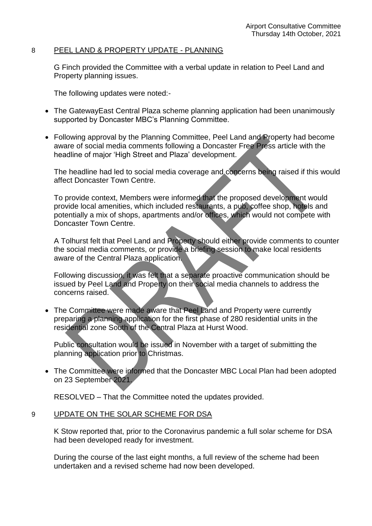### 8 PEEL LAND & PROPERTY UPDATE - PLANNING

G Finch provided the Committee with a verbal update in relation to Peel Land and Property planning issues.

The following updates were noted:-

- The GatewayEast Central Plaza scheme planning application had been unanimously supported by Doncaster MBC's Planning Committee.
- Following approval by the Planning Committee, Peel Land and Property had become aware of social media comments following a Doncaster Free Press article with the headline of major 'High Street and Plaza' development.

The headline had led to social media coverage and concerns being raised if this would affect Doncaster Town Centre.

To provide context, Members were informed that the proposed development would provide local amenities, which included restaurants, a pub, coffee shop, hotels and potentially a mix of shops, apartments and/or offices, which would not compete with Doncaster Town Centre.

A Tolhurst felt that Peel Land and Property should either provide comments to counter the social media comments, or provide a briefing session to make local residents aware of the Central Plaza application.

Following discussion, it was felt that a separate proactive communication should be issued by Peel Land and Property on their social media channels to address the concerns raised.

• The Committee were made aware that Peel Land and Property were currently preparing a planning application for the first phase of 280 residential units in the residential zone South of the Central Plaza at Hurst Wood.

Public consultation would be issued in November with a target of submitting the planning application prior to Christmas.

 The Committee were informed that the Doncaster MBC Local Plan had been adopted on 23 September 2021.

RESOLVED – That the Committee noted the updates provided.

### 9 UPDATE ON THE SOLAR SCHEME FOR DSA

K Stow reported that, prior to the Coronavirus pandemic a full solar scheme for DSA had been developed ready for investment.

During the course of the last eight months, a full review of the scheme had been undertaken and a revised scheme had now been developed.